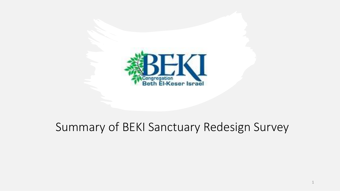

## Summary of BEKI Sanctuary Redesign Survey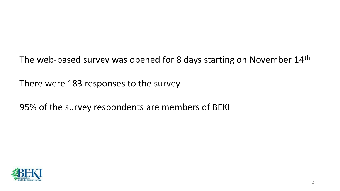The web-based survey was opened for 8 days starting on November 14<sup>th</sup>

There were 183 responses to the survey

95% of the survey respondents are members of BEKI

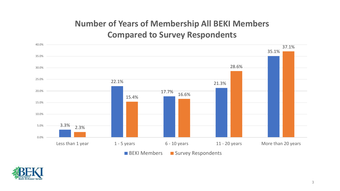#### **Number of Years of Membership All BEKI Members Compared to Survey Respondents**



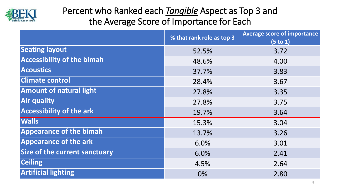

### Percent who Ranked each *Tangible* Aspect as Top 3 and the Average Score of Importance for Each

|                                      | % that rank role as top 3 | <b>Average score of importance</b><br>(5 to 1) |
|--------------------------------------|---------------------------|------------------------------------------------|
| <b>Seating layout</b>                | 52.5%                     | 3.72                                           |
| <b>Accessibility of the bimah</b>    | 48.6%                     | 4.00                                           |
| <b>Acoustics</b>                     | 37.7%                     | 3.83                                           |
| <b>Climate control</b>               | 28.4%                     | 3.67                                           |
| <b>Amount of natural light</b>       | 27.8%                     | 3.35                                           |
| <b>Air quality</b>                   | 27.8%                     | 3.75                                           |
| <b>Accessibility of the ark</b>      | 19.7%                     | 3.64                                           |
| <b>Walls</b>                         | 15.3%                     | 3.04                                           |
| <b>Appearance of the bimah</b>       | 13.7%                     | 3.26                                           |
| <b>Appearance of the ark</b>         | 6.0%                      | 3.01                                           |
| <b>Size of the current sanctuary</b> | 6.0%                      | 2.41                                           |
| <b>Ceiling</b>                       | 4.5%                      | 2.64                                           |
| <b>Artificial lighting</b>           | 0%                        | 2.80                                           |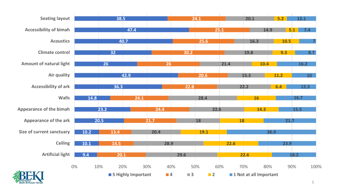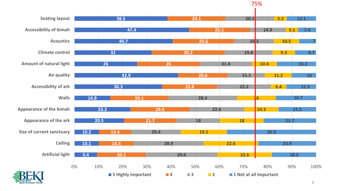



6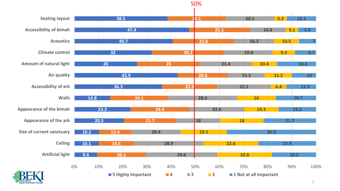

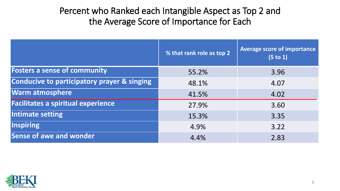#### Percent who Ranked each Intangible Aspect as Top 2 and the Average Score of Importance for Each

|                                                        | % that rank role as top 2 | <b>Average score of importance</b><br>(5 to 1) |
|--------------------------------------------------------|---------------------------|------------------------------------------------|
| <b>Fosters a sense of community</b>                    | 55.2%                     | 3.96                                           |
| <b>Conducive to participatory prayer &amp; singing</b> | 48.1%                     | 4.07                                           |
| <b>Warm atmosphere</b>                                 | 41.5%                     | 4.02                                           |
| <b>Facilitates a spiritual experience</b>              | 27.9%                     | 3.60                                           |
| Intimate setting                                       | 15.3%                     | 3.35                                           |
| <b>Inspiring</b>                                       | 4.9%                      | 3.22                                           |
| Sense of awe and wonder                                | 4.4%                      | 2.83                                           |

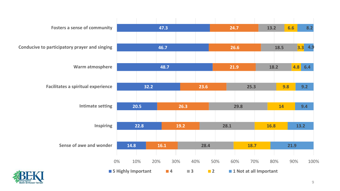

9

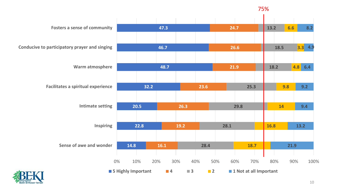#### 75%

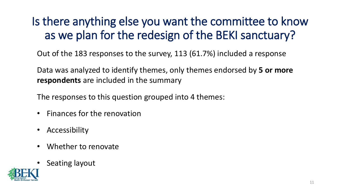## Is there anything else you want the committee to know as we plan for the redesign of the BEKI sanctuary?

Out of the 183 responses to the survey, 113 (61.7%) included a response

Data was analyzed to identify themes, only themes endorsed by **5 or more respondents** are included in the summary

The responses to this question grouped into 4 themes:

- Finances for the renovation
- Accessibility
- Whether to renovate
- Seating layout

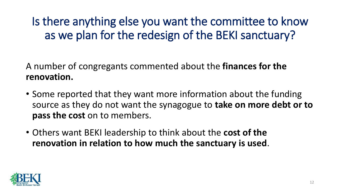Is there anything else you want the committee to know as we plan for the redesign of the BEKI sanctuary?

A number of congregants commented about the **finances for the renovation.** 

- Some reported that they want more information about the funding source as they do not want the synagogue to **take on more debt or to pass the cost** on to members.
- Others want BEKI leadership to think about the **cost of the renovation in relation to how much the sanctuary is used**.

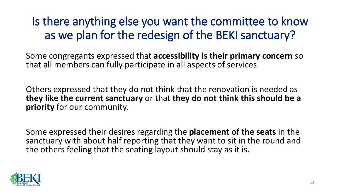## Is there anything else you want the committee to know as we plan for the redesign of the BEKI sanctuary?

Some congregants expressed that **accessibility is their primary concern** so that all members can fully participate in all aspects of services.

Others expressed that they do not think that the renovation is needed as **they like the current sanctuary** or that **they do not think this should be a priority** for our community.

Some expressed their desires regarding the **placement of the seats** in the sanctuary with about half reporting that they want to sit in the round and the others feeling that the seating layout should stay as it is.

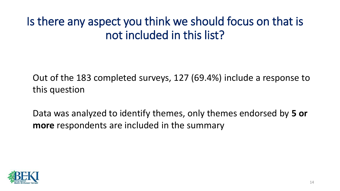## Is there any aspect you think we should focus on that is not included in this list?

Out of the 183 completed surveys, 127 (69.4%) include a response to this question

Data was analyzed to identify themes, only themes endorsed by **5 or more** respondents are included in the summary

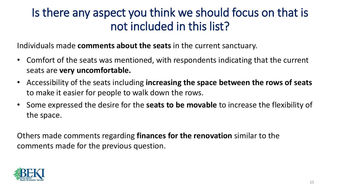## Is there any aspect you think we should focus on that is not included in this list?

Individuals made **comments about the seats** in the current sanctuary.

- Comfort of the seats was mentioned, with respondents indicating that the current seats are **very uncomfortable.**
- Accessibility of the seats including **increasing the space between the rows of seats** to make it easier for people to walk down the rows.
- Some expressed the desire for the **seats to be movable** to increase the flexibility of the space.

Others made comments regarding **finances for the renovation** similar to the comments made for the previous question.